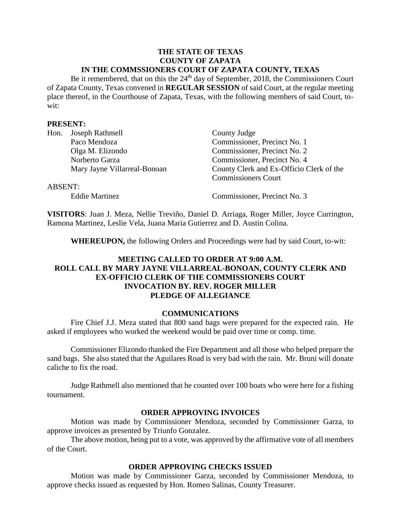#### **THE STATE OF TEXAS COUNTY OF ZAPATA IN THE COMMSSIONERS COURT OF ZAPATA COUNTY, TEXAS**

Be it remembered, that on this the  $24<sup>th</sup>$  day of September, 2018, the Commissioners Court of Zapata County, Texas convened in **REGULAR SESSION** of said Court, at the regular meeting place thereof, in the Courthouse of Zapata, Texas, with the following members of said Court, towit:

#### **PRESENT:**

| Hon.           | Joseph Rathmell              | County Judge                             |
|----------------|------------------------------|------------------------------------------|
|                | Paco Mendoza                 | Commissioner, Precinct No. 1             |
|                | Olga M. Elizondo             | Commissioner, Precinct No. 2             |
|                | Norberto Garza               | Commissioner, Precinct No. 4             |
|                | Mary Jayne Villarreal-Bonoan | County Clerk and Ex-Officio Clerk of the |
|                |                              | <b>Commissioners Court</b>               |
| <b>ABSENT:</b> |                              |                                          |
|                | <b>Eddie Martinez</b>        | Commissioner, Precinct No. 3             |

**VISITORS**: Juan J. Meza, Nellie Treviño, Daniel D. Arriaga, Roger Miller, Joyce Currington, Ramona Martinez, Leslie Vela, Juana Maria Gutierrez and D. Austin Colina.

**WHEREUPON,** the following Orders and Proceedings were had by said Court, to-wit:

# **MEETING CALLED TO ORDER AT 9:00 A.M. ROLL CALL BY MARY JAYNE VILLARREAL-BONOAN, COUNTY CLERK AND EX-OFFICIO CLERK OF THE COMMISSIONERS COURT INVOCATION BY. REV. ROGER MILLER PLEDGE OF ALLEGIANCE**

#### **COMMUNICATIONS**

Fire Chief J.J. Meza stated that 800 sand bags were prepared for the expected rain. He asked if employees who worked the weekend would be paid over time or comp. time.

Commissioner Elizondo thanked the Fire Department and all those who helped prepare the sand bags. She also stated that the Aguilares Road is very bad with the rain. Mr. Bruni will donate caliche to fix the road.

Judge Rathmell also mentioned that he counted over 100 boats who were here for a fishing tournament.

#### **ORDER APPROVING INVOICES**

Motion was made by Commissioner Mendoza, seconded by Commissioner Garza, to approve invoices as presented by Triunfo Gonzalez.

The above motion, being put to a vote, was approved by the affirmative vote of all members of the Court.

#### **ORDER APPROVING CHECKS ISSUED**

Motion was made by Commissioner Garza, seconded by Commissioner Mendoza, to approve checks issued as requested by Hon. Romeo Salinas, County Treasurer.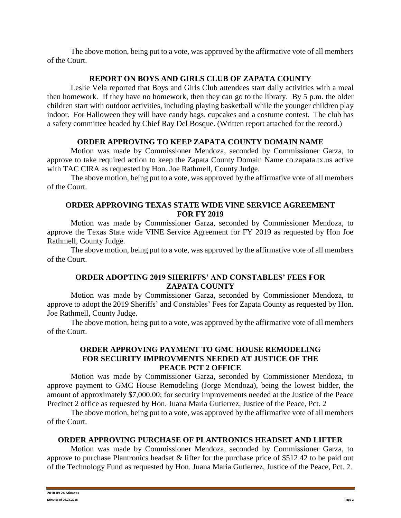The above motion, being put to a vote, was approved by the affirmative vote of all members of the Court.

## **REPORT ON BOYS AND GIRLS CLUB OF ZAPATA COUNTY**

Leslie Vela reported that Boys and Girls Club attendees start daily activities with a meal then homework. If they have no homework, then they can go to the library. By 5 p.m. the older children start with outdoor activities, including playing basketball while the younger children play indoor. For Halloween they will have candy bags, cupcakes and a costume contest. The club has a safety committee headed by Chief Ray Del Bosque. (Written report attached for the record.)

## **ORDER APPROVING TO KEEP ZAPATA COUNTY DOMAIN NAME**

Motion was made by Commissioner Mendoza, seconded by Commissioner Garza, to approve to take required action to keep the Zapata County Domain Name co.zapata.tx.us active with TAC CIRA as requested by Hon. Joe Rathmell, County Judge.

The above motion, being put to a vote, was approved by the affirmative vote of all members of the Court.

# **ORDER APPROVING TEXAS STATE WIDE VINE SERVICE AGREEMENT FOR FY 2019**

Motion was made by Commissioner Garza, seconded by Commissioner Mendoza, to approve the Texas State wide VINE Service Agreement for FY 2019 as requested by Hon Joe Rathmell, County Judge.

The above motion, being put to a vote, was approved by the affirmative vote of all members of the Court.

# **ORDER ADOPTING 2019 SHERIFFS' AND CONSTABLES' FEES FOR ZAPATA COUNTY**

Motion was made by Commissioner Garza, seconded by Commissioner Mendoza, to approve to adopt the 2019 Sheriffs' and Constables' Fees for Zapata County as requested by Hon. Joe Rathmell, County Judge.

The above motion, being put to a vote, was approved by the affirmative vote of all members of the Court.

## **ORDER APPROVING PAYMENT TO GMC HOUSE REMODELING FOR SECURITY IMPROVMENTS NEEDED AT JUSTICE OF THE PEACE PCT 2 OFFICE**

Motion was made by Commissioner Garza, seconded by Commissioner Mendoza, to approve payment to GMC House Remodeling (Jorge Mendoza), being the lowest bidder, the amount of approximately \$7,000.00; for security improvements needed at the Justice of the Peace Precinct 2 office as requested by Hon. Juana Maria Gutierrez, Justice of the Peace, Pct. 2

The above motion, being put to a vote, was approved by the affirmative vote of all members of the Court.

# **ORDER APPROVING PURCHASE OF PLANTRONICS HEADSET AND LIFTER**

Motion was made by Commissioner Mendoza, seconded by Commissioner Garza, to approve to purchase Plantronics headset & lifter for the purchase price of \$512.42 to be paid out of the Technology Fund as requested by Hon. Juana Maria Gutierrez, Justice of the Peace, Pct. 2.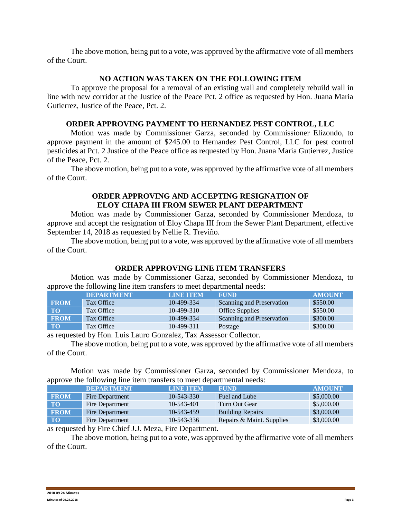The above motion, being put to a vote, was approved by the affirmative vote of all members of the Court.

## **NO ACTION WAS TAKEN ON THE FOLLOWING ITEM**

To approve the proposal for a removal of an existing wall and completely rebuild wall in line with new corridor at the Justice of the Peace Pct. 2 office as requested by Hon. Juana Maria Gutierrez, Justice of the Peace, Pct. 2.

## **ORDER APPROVING PAYMENT TO HERNANDEZ PEST CONTROL, LLC**

Motion was made by Commissioner Garza, seconded by Commissioner Elizondo, to approve payment in the amount of \$245.00 to Hernandez Pest Control, LLC for pest control pesticides at Pct. 2 Justice of the Peace office as requested by Hon. Juana Maria Gutierrez, Justice of the Peace, Pct. 2.

The above motion, being put to a vote, was approved by the affirmative vote of all members of the Court.

## **ORDER APPROVING AND ACCEPTING RESIGNATION OF ELOY CHAPA III FROM SEWER PLANT DEPARTMENT**

Motion was made by Commissioner Garza, seconded by Commissioner Mendoza, to approve and accept the resignation of Eloy Chapa III from the Sewer Plant Department, effective September 14, 2018 as requested by Nellie R. Treviño.

The above motion, being put to a vote, was approved by the affirmative vote of all members of the Court.

# **ORDER APPROVING LINE ITEM TRANSFERS**

Motion was made by Commissioner Garza, seconded by Commissioner Mendoza, to approve the following line item transfers to meet departmental needs:

|             | <b>DEPARTMENT</b> | <b>LINE ITEM</b> | <b>FUND</b>               | <b>AMOUNT</b> |
|-------------|-------------------|------------------|---------------------------|---------------|
| <b>FROM</b> | Tax Office        | 10-499-334       | Scanning and Preservation | \$550.00      |
| <b>TO</b>   | Tax Office        | $10-499-310$     | <b>Office Supplies</b>    | \$550.00      |
| <b>FROM</b> | Tax Office        | 10-499-334       | Scanning and Preservation | \$300.00      |
| <b>TO</b>   | Tax Office        | $10-499-311$     | Postage                   | \$300.00      |

as requested by Hon. Luis Lauro Gonzalez, Tax Assessor Collector.

The above motion, being put to a vote, was approved by the affirmative vote of all members of the Court.

Motion was made by Commissioner Garza, seconded by Commissioner Mendoza, to approve the following line item transfers to meet departmental needs:

|             | <b>DEPARTMENT</b> | <b>LINE ITEM</b> | <b>FUND</b>               | <b>AMOUNT</b> |
|-------------|-------------------|------------------|---------------------------|---------------|
| <b>FROM</b> | Fire Department   | $10 - 543 - 330$ | Fuel and Lube             | \$5,000.00    |
| <b>TO</b>   | Fire Department   | 10-543-401       | Turn Out Gear             | \$5,000.00    |
| <b>FROM</b> | Fire Department   | 10-543-459       | <b>Building Repairs</b>   | \$3,000.00    |
| <b>TO</b>   | Fire Department   | $10 - 543 - 336$ | Repairs & Maint. Supplies | \$3,000.00    |

as requested by Fire Chief J.J. Meza, Fire Department.

The above motion, being put to a vote, was approved by the affirmative vote of all members of the Court.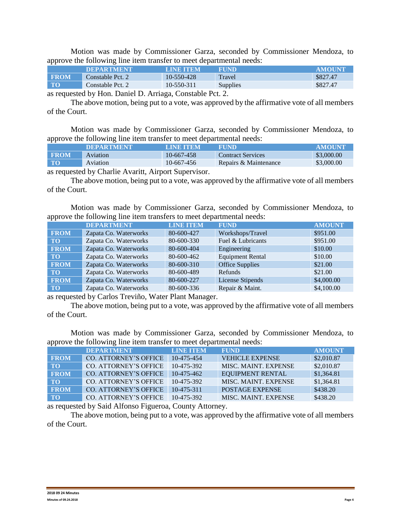Motion was made by Commissioner Garza, seconded by Commissioner Mendoza, to approve the following line item transfer to meet departmental needs:

|             | <b>DEPARTMENT</b> | <b>LINE ITEM</b> | FUND     | <b>AMOUNT</b> |
|-------------|-------------------|------------------|----------|---------------|
| <b>EROM</b> | Constable Pct. 2  | 10-550-428       | Travel   | \$827.47      |
| TO          | Constable Pct. 2  | 10-550-311       | Supplies | \$827.47      |

as requested by Hon. Daniel D. Arriaga, Constable Pct. 2.

The above motion, being put to a vote, was approved by the affirmative vote of all members of the Court.

Motion was made by Commissioner Garza, seconded by Commissioner Mendoza, to approve the following line item transfer to meet departmental needs:

|                                                     | <b>DEPARTMENT</b> | LINE TEM   | <b>FUND!</b>             | <b>AMOUNT</b> |  |
|-----------------------------------------------------|-------------------|------------|--------------------------|---------------|--|
| <b>FROM</b>                                         | <b>Aviation</b>   | 10-667-458 | <b>Contract Services</b> | \$3,000.00    |  |
| <b>TO</b>                                           | Aviation          | 10-667-456 | Repairs & Maintenance    | \$3,000.00    |  |
| so requested by Charlie Assaitt, Aiment Cypermisson |                   |            |                          |               |  |

as requested by Charlie Avaritt, Airport Supervisor.

The above motion, being put to a vote, was approved by the affirmative vote of all members of the Court.

Motion was made by Commissioner Garza, seconded by Commissioner Mendoza, to approve the following line item transfers to meet departmental needs:

|             | <b>DEPARTMENT</b>     | <b>LINE ITEM</b> | <b>FUND</b>             | <b>AMOUNT</b> |
|-------------|-----------------------|------------------|-------------------------|---------------|
| <b>FROM</b> | Zapata Co. Waterworks | 80-600-427       | Workshops/Travel        | \$951.00      |
| <b>TO</b>   | Zapata Co. Waterworks | 80-600-330       | Fuel & Lubricants       | \$951.00      |
| <b>FROM</b> | Zapata Co. Waterworks | 80-600-404       | Engineering             | \$10.00       |
| <b>TO</b>   | Zapata Co. Waterworks | 80-600-462       | <b>Equipment Rental</b> | \$10.00       |
| <b>FROM</b> | Zapata Co. Waterworks | 80-600-310       | <b>Office Supplies</b>  | \$21.00       |
| <b>TO</b>   | Zapata Co. Waterworks | 80-600-489       | Refunds                 | \$21.00       |
| <b>FROM</b> | Zapata Co. Waterworks | 80-600-227       | License Stipends        | \$4,000.00    |
| <b>TO</b>   | Zapata Co. Waterworks | 80-600-336       | Repair & Maint.         | \$4,100.00    |

as requested by Carlos Treviño, Water Plant Manager.

The above motion, being put to a vote, was approved by the affirmative vote of all members of the Court.

Motion was made by Commissioner Garza, seconded by Commissioner Mendoza, to approve the following line item transfer to meet departmental needs:

|             | <b>DEPARTMENT</b>            | <b>LINE ITEM</b> | <b>FUND</b>             | <b>AMOUNT</b> |
|-------------|------------------------------|------------------|-------------------------|---------------|
| <b>FROM</b> | <b>CO. ATTORNEY'S OFFICE</b> | 10-475-454       | <b>VEHICLE EXPENSE</b>  | \$2,010.87    |
| <b>TO</b>   | CO. ATTORNEY'S OFFICE        | 10-475-392       | MISC. MAINT. EXPENSE    | \$2,010.87    |
| <b>FROM</b> | CO. ATTORNEY'S OFFICE        | 10-475-462       | <b>EQUIPMENT RENTAL</b> | \$1,364.81    |
| <b>TO</b>   | CO. ATTORNEY'S OFFICE        | 10-475-392       | MISC. MAINT. EXPENSE    | \$1,364.81    |
| <b>FROM</b> | CO. ATTORNEY'S OFFICE        | $10-475-311$     | <b>POSTAGE EXPENSE</b>  | \$438.20      |
| <b>TO</b>   | <b>CO. ATTORNEY'S OFFICE</b> | 10-475-392       | MISC. MAINT. EXPENSE    | \$438.20      |

as requested by Said Alfonso Figueroa, County Attorney.

The above motion, being put to a vote, was approved by the affirmative vote of all members of the Court.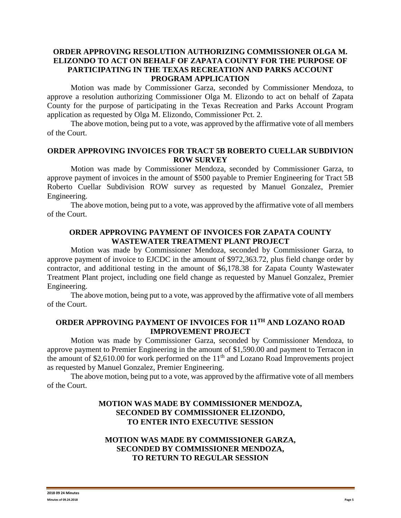## **ORDER APPROVING RESOLUTION AUTHORIZING COMMISSIONER OLGA M. ELIZONDO TO ACT ON BEHALF OF ZAPATA COUNTY FOR THE PURPOSE OF PARTICIPATING IN THE TEXAS RECREATION AND PARKS ACCOUNT PROGRAM APPLICATION**

Motion was made by Commissioner Garza, seconded by Commissioner Mendoza, to approve a resolution authorizing Commissioner Olga M. Elizondo to act on behalf of Zapata County for the purpose of participating in the Texas Recreation and Parks Account Program application as requested by Olga M. Elizondo, Commissioner Pct. 2.

The above motion, being put to a vote, was approved by the affirmative vote of all members of the Court.

## **ORDER APPROVING INVOICES FOR TRACT 5B ROBERTO CUELLAR SUBDIVION ROW SURVEY**

Motion was made by Commissioner Mendoza, seconded by Commissioner Garza, to approve payment of invoices in the amount of \$500 payable to Premier Engineering for Tract 5B Roberto Cuellar Subdivision ROW survey as requested by Manuel Gonzalez, Premier Engineering.

The above motion, being put to a vote, was approved by the affirmative vote of all members of the Court.

#### **ORDER APPROVING PAYMENT OF INVOICES FOR ZAPATA COUNTY WASTEWATER TREATMENT PLANT PROJECT**

Motion was made by Commissioner Mendoza, seconded by Commissioner Garza, to approve payment of invoice to EJCDC in the amount of \$972,363.72, plus field change order by contractor, and additional testing in the amount of \$6,178.38 for Zapata County Wastewater Treatment Plant project, including one field change as requested by Manuel Gonzalez, Premier Engineering.

The above motion, being put to a vote, was approved by the affirmative vote of all members of the Court.

## **ORDER APPROVING PAYMENT OF INVOICES FOR 11TH AND LOZANO ROAD IMPROVEMENT PROJECT**

Motion was made by Commissioner Garza, seconded by Commissioner Mendoza, to approve payment to Premier Engineering in the amount of \$1,590.00 and payment to Terracon in the amount of \$2,610.00 for work performed on the  $11<sup>th</sup>$  and Lozano Road Improvements project as requested by Manuel Gonzalez, Premier Engineering.

The above motion, being put to a vote, was approved by the affirmative vote of all members of the Court.

# **MOTION WAS MADE BY COMMISSIONER MENDOZA, SECONDED BY COMMISSIONER ELIZONDO, TO ENTER INTO EXECUTIVE SESSION**

## **MOTION WAS MADE BY COMMISSIONER GARZA, SECONDED BY COMMISSIONER MENDOZA, TO RETURN TO REGULAR SESSION**